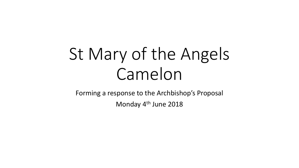# St Mary of the Angels Camelon

Forming a response to the Archbishop's Proposal

Monday 4<sup>th</sup> June 2018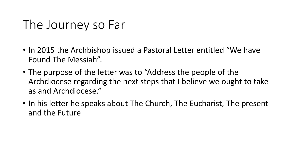#### The Journey so Far

- In 2015 the Archbishop issued a Pastoral Letter entitled "We have Found The Messiah".
- The purpose of the letter was to "Address the people of the Archdiocese regarding the next steps that I believe we ought to take as and Archdiocese."
- In his letter he speaks about The Church, The Eucharist, The present and the Future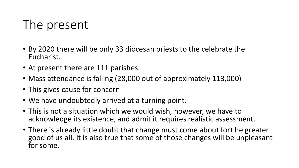# The present

- By 2020 there will be only 33 diocesan priests to the celebrate the Eucharist.
- At present there are 111 parishes.
- Mass attendance is falling (28,000 out of approximately 113,000)
- This gives cause for concern
- We have undoubtedly arrived at a turning point.
- This is not a situation which we would wish, however, we have to acknowledge its existence, and admit it requires realistic assessment.
- There is already little doubt that change must come about fort he greater good of us all. It is also true that some of those changes will be unpleasant for some.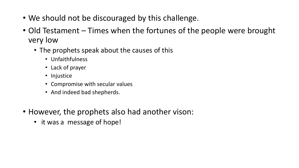- We should not be discouraged by this challenge.
- Old Testament Times when the fortunes of the people were brought very low
	- The prophets speak about the causes of this
		- Unfaithfulness
		- Lack of prayer
		- Injustice
		- Compromise with secular values
		- And indeed bad shepherds.
- However, the prophets also had another vison:
	- it was a message of hope!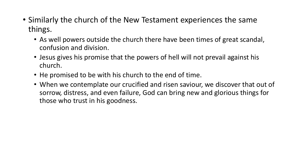- Similarly the church of the New Testament experiences the same things.
	- As well powers outside the church there have been times of great scandal, confusion and division.
	- Jesus gives his promise that the powers of hell will not prevail against his church.
	- He promised to be with his church to the end of time.
	- When we contemplate our crucified and risen saviour, we discover that out of sorrow, distress, and even failure, God can bring new and glorious things for those who trust in his goodness.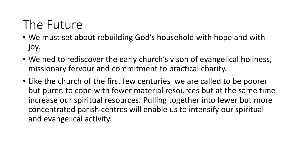# The Future

- We must set about rebuilding God's household with hope and with joy.
- We ned to rediscover the early church's vison of evangelical holiness, missionary fervour and commitment to practical charity.
- Like the church of the first few centuries we are called to be poorer but purer, to cope with fewer material resources but at the same time increase our spiritual resources. Pulling together into fewer but more concentrated parish centres will enable us to intensify our spiritual and evangelical activity.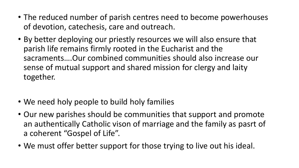- The reduced number of parish centres need to become powerhouses of devotion, catechesis, care and outreach.
- By better deploying our priestly resources we will also ensure that parish life remains firmly rooted in the Eucharist and the sacraments….Our combined communities should also increase our sense of mutual support and shared mission for clergy and laity together.
- We need holy people to build holy families
- Our new parishes should be communities that support and promote an authentically Catholic vison of marriage and the family as pasrt of a coherent "Gospel of Life".
- We must offer better support for those trying to live out his ideal.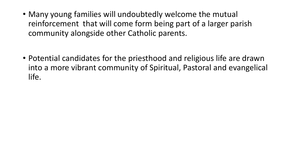- Many young families will undoubtedly welcome the mutual reinforcement that will come form being part of a larger parish community alongside other Catholic parents.
- Potential candidates for the priesthood and religious life are drawn into a more vibrant community of Spiritual, Pastoral and evangelical life.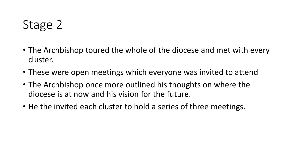# Stage 2

- The Archbishop toured the whole of the diocese and met with every cluster.
- These were open meetings which everyone was invited to attend
- The Archbishop once more outlined his thoughts on where the diocese is at now and his vision for the future.
- He the invited each cluster to hold a series of three meetings.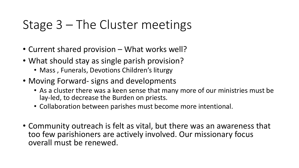#### Stage 3 – The Cluster meetings

- Current shared provision What works well?
- What should stay as single parish provision?
	- Mass, Funerals, Devotions Children's liturgy
- Moving Forward- signs and developments
	- As a cluster there was a keen sense that many more of our ministries must be lay-led, to decrease the Burden on priests.
	- Collaboration between parishes must become more intentional.
- Community outreach is felt as vital, but there was an awareness that too few parishioners are actively involved. Our missionary focus overall must be renewed.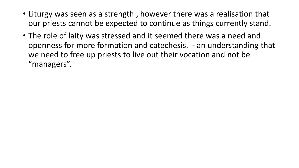- Liturgy was seen as a strength , however there was a realisation that our priests cannot be expected to continue as things currently stand.
- The role of laity was stressed and it seemed there was a need and openness for more formation and catechesis. - an understanding that we need to free up priests to live out their vocation and not be "managers".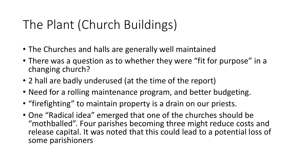# The Plant (Church Buildings)

- The Churches and halls are generally well maintained
- There was a question as to whether they were "fit for purpose" in a changing church?
- 2 hall are badly underused (at the time of the report)
- Need for a rolling maintenance program, and better budgeting.
- "firefighting" to maintain property is a drain on our priests.
- One "Radical idea" emerged that one of the churches should be "mothballed". Four parishes becoming three might reduce costs and release capital. It was noted that this could lead to a potential loss of some parishioners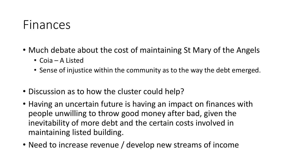#### Finances

- Much debate about the cost of maintaining St Mary of the Angels
	- Coia A Listed
	- Sense of injustice within the community as to the way the debt emerged.
- Discussion as to how the cluster could help?
- Having an uncertain future is having an impact on finances with people unwilling to throw good money after bad, given the inevitability of more debt and the certain costs involved in maintaining listed building.
- Need to increase revenue / develop new streams of income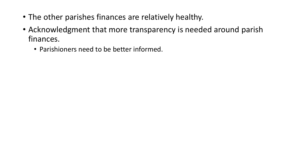- The other parishes finances are relatively healthy.
- Acknowledgment that more transparency is needed around parish finances.
	- Parishioners need to be better informed.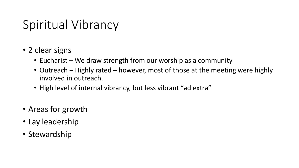## Spiritual Vibrancy

- 2 clear signs
	- Eucharist We draw strength from our worship as a community
	- Outreach Highly rated however, most of those at the meeting were highly involved in outreach.
	- High level of internal vibrancy, but less vibrant "ad extra"
- Areas for growth
- Lay leadership
- Stewardship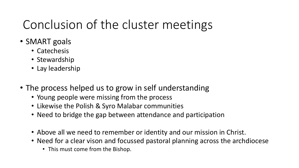# Conclusion of the cluster meetings

- SMART goals
	- Catechesis
	- Stewardship
	- Lay leadership
- The process helped us to grow in self understanding
	- Young people were missing from the process
	- Likewise the Polish & Syro Malabar communities
	- Need to bridge the gap between attendance and participation
	- Above all we need to remember or identity and our mission in Christ.
	- Need for a clear vison and focussed pastoral planning across the archdiocese
		- This must come from the Bishop.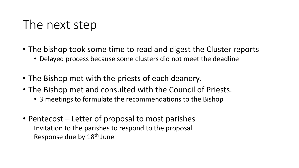#### The next step

- The bishop took some time to read and digest the Cluster reports
	- Delayed process because some clusters did not meet the deadline
- The Bishop met with the priests of each deanery.
- The Bishop met and consulted with the Council of Priests.
	- 3 meetings to formulate the recommendations to the Bishop
- Pentecost Letter of proposal to most parishes Invitation to the parishes to respond to the proposal Response due by 18th June